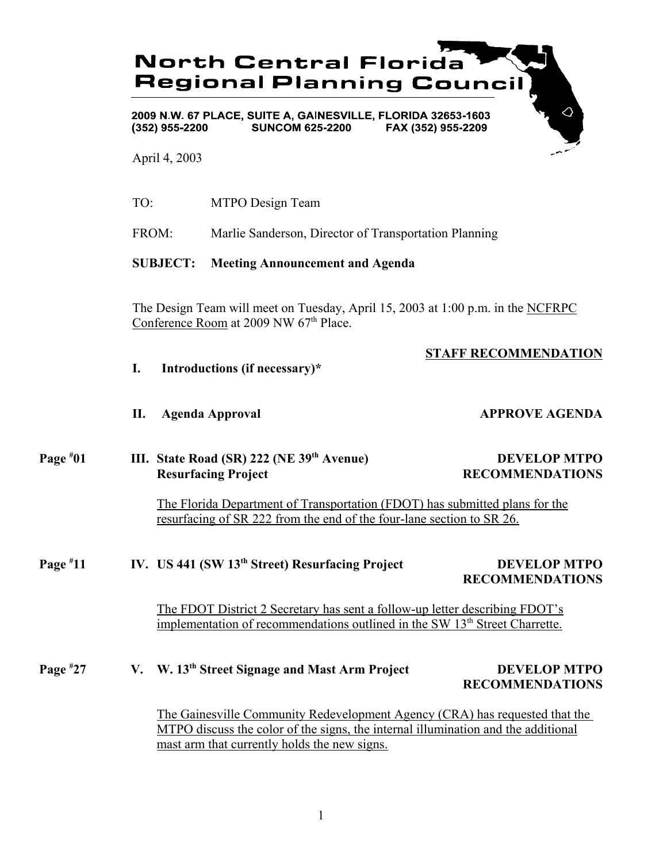# **North Central Florida Regional Planning Council** 2009 N.W. 67 PLACE, SUITE A, GAINESVILLE, FLORIDA 32653-1603

**SUNCOM 625-2200** FAX (352) 955-2209  $(352)$  955-2200

April 4, 2003

TO: MTPO Design Team

FROM: Marlie Sanderson, Director of Transportation Planning

## **SUBJECT: Meeting Announcement and Agenda**

The Design Team will meet on Tuesday, April 15, 2003 at 1:00 p.m. in the NCFRPC Conference Room at 2009 NW 67<sup>th</sup> Place.

# **STAFF RECOMMENDATION**

- **I. Introductions (if necessary)\***
- **II.** Agenda Approval **APPROVE AGENDA**

#### **Page # III.** State Road (SR) 222 (NE 39<sup>th</sup> Avenue) DEVELOP MTPO **RECOMMENDATIONS**

The Florida Department of Transportation (FDOT) has submitted plans for the resurfacing of SR 222 from the end of the four-lane section to SR 26.

### **Page # 11 IV. US 441 (SW 13th Street) Resurfacing Project DEVELOP MTPO RECOMMENDATIONS**

The FDOT District 2 Secretary has sent a follow-up letter describing FDOT's implementation of recommendations outlined in the SW 13<sup>th</sup> Street Charrette.

#### **Page # 27 V. W. 13th Street Signage and Mast Arm Project DEVELOP MTPO RECOMMENDATIONS**

The Gainesville Community Redevelopment Agency (CRA) has requested that the MTPO discuss the color of the signs, the internal illumination and the additional mast arm that currently holds the new signs.